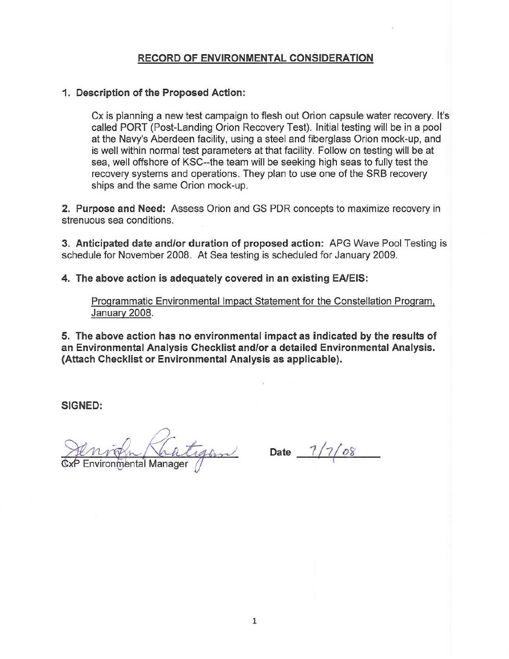### RECORD OF ENVIRONMENTAL CONSIDERATION

### 1. Description of the Proposed Action:

Cx is planning a new test campaign to flesh out Orion capsule water recovery. It's called PORT (Post-Landing Orion Recovery Test). Initial testing will be in a pool at the Navy's Aberdeen facility, using a steel and fiberglass Orion mock-up, and is well within normal test parameters at that facility. Follow on testing will be at sea, well offshore of KSC--the team will be seeking high seas to fully test the recovery systems and operations. They plan to use one of the SRB recovery ships and the same Orion mock-up.

2. Purpose and Need: Assess Orion and GS PDR concepts to maximize recovery in **strenuous sea conditions.** 

3. Anticipated date andlor duration of proposed action: APG Wave Pool Testing is schedule for November 2008. At Sea testing is scheduled for January 2009.

4. The above action is adequately covered in an existing EAlEIS:

Programmatic Environmental Impact Statement for the Constellation Program, January 2008.

5. The above action has no environmental impact as indicated by the results of an Environmental Analysis Checklist and/or a detailed Environmental Analysis. (Attach Checklist or Environmental Analysis as applicable).

SIGNED:

right Khatigon Date 1/7/08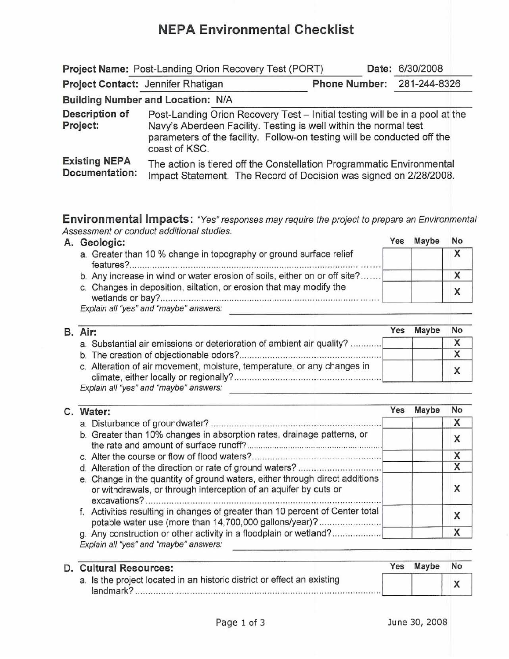## NEPA Environmental Checklist

|                                               | Project Name: Post-Landing Orion Recovery Test (PORT)                                                                                                                                                                                       |                            | Date: 6/30/2008 |
|-----------------------------------------------|---------------------------------------------------------------------------------------------------------------------------------------------------------------------------------------------------------------------------------------------|----------------------------|-----------------|
| Project Contact: Jennifer Rhatigan            |                                                                                                                                                                                                                                             | Phone Number: 281-244-8326 |                 |
|                                               | Building Number and Location: N/A                                                                                                                                                                                                           |                            |                 |
| Description of<br>Project:                    | Post-Landing Orion Recovery Test - Initial testing will be in a pool at the<br>Navy's Aberdeen Facility. Testing is well within the normal test<br>parameters of the facility. Follow-on testing will be conducted off the<br>coast of KSC. |                            |                 |
| <b>Existing NEPA</b><br><b>Documentation:</b> | The action is tiered off the Constellation Programmatic Environmental<br>Impact Statement. The Record of Decision was signed on 2/28/2008.                                                                                                  |                            |                 |

Environmental Impacts: "Yes" responses may require the project to prepare an Environmental Assessment or conduct additional studies.

|  | A. Geologic:                                                                                                                                                                                                                                                                                                      | Yes | Maybe | No |
|--|-------------------------------------------------------------------------------------------------------------------------------------------------------------------------------------------------------------------------------------------------------------------------------------------------------------------|-----|-------|----|
|  | a. Greater than 10 % change in topography or ground surface relief<br>features?<br>1000 - 1000 - 1000 - 1000 - 1000 - 1000 - 1000 - 1000 - 1000 - 1000 - 1000 - 1000 - 1000 - 1000 - 1000 - 1000<br>1000 - 1000 - 1000 - 1000 - 1000 - 1000 - 1000 - 1000 - 1000 - 1000 - 1000 - 1000 - 1000 - 1000 - 1000 - 1000 |     |       |    |
|  | b. Any increase in wind or water erosion of soils, either on or off site?                                                                                                                                                                                                                                         |     |       |    |
|  | c. Changes in deposition, siltation, or erosion that may modify the                                                                                                                                                                                                                                               |     |       |    |
|  | Explain all "yes" and "maybe" answers:                                                                                                                                                                                                                                                                            |     |       |    |

|                                                                         | Yes     | Maybe                                                                 | No |
|-------------------------------------------------------------------------|---------|-----------------------------------------------------------------------|----|
|                                                                         |         |                                                                       |    |
|                                                                         |         |                                                                       |    |
| c. Alteration of air movement, moisture, temperature, or any changes in |         |                                                                       |    |
|                                                                         | B. Air: | a. Substantial air emissions or deterioration of ambient air quality? |    |

#### C. Water: a. Disturbance of groundwater? ........................................ . b. Greater than 10% changes in absorption rates, drainage patterns, or the rate and amount of surface runoff? .. . c. Alter the course or flow of flood waters? ............ ....... ........ . ........... . d. Alteration of the direction or rate of ground waters? .... ...... . e. Change in the quantity of ground waters, either through direct additions or withdrawals, or through interception of an aquifer by cuts or excavations? ... . ....................... .............. .. ................. . f. Activities resulting in changes of greater than 10 percent of Center total potable water use (more than 14,700,000 gallons/year)?.......................... g. Any construction or other activity in a floodplain or wetland?................. Explain all "yes" and "maybe" answers: Yes Maybe No X X X X X X X

| D. Cultural Resources:                                                               | Yes | <b>Maybe</b> | No |
|--------------------------------------------------------------------------------------|-----|--------------|----|
| a. Is the project located in an historic district or effect an existing<br>landmark? |     |              |    |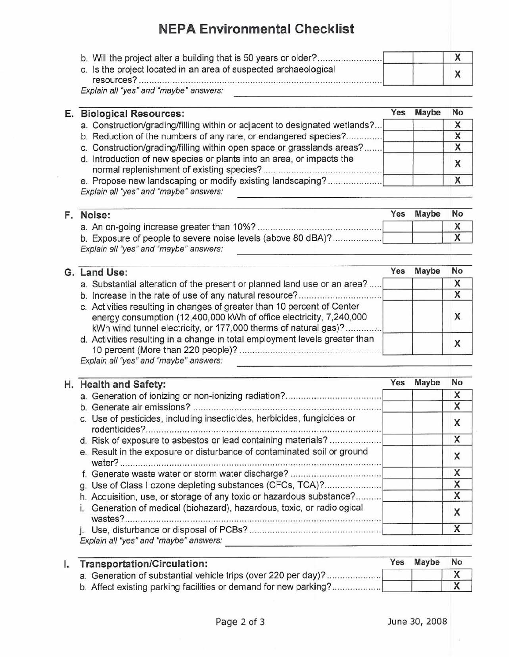# NEPA Environmental Checklist

| c. Is the project located in an area of suspected archaeological<br>$resources?$ |  |
|----------------------------------------------------------------------------------|--|

| <b>Biological Resources:</b>                                               | Yes                                                                                                                                                                                                                                               | Maybe | No |
|----------------------------------------------------------------------------|---------------------------------------------------------------------------------------------------------------------------------------------------------------------------------------------------------------------------------------------------|-------|----|
| a. Construction/grading/filling within or adjacent to designated wetlands? |                                                                                                                                                                                                                                                   |       |    |
|                                                                            |                                                                                                                                                                                                                                                   |       |    |
|                                                                            |                                                                                                                                                                                                                                                   |       | X  |
| d. Introduction of new species or plants into an area, or impacts the      |                                                                                                                                                                                                                                                   |       |    |
|                                                                            |                                                                                                                                                                                                                                                   |       |    |
|                                                                            | b. Reduction of the numbers of any rare, or endangered species?<br>c. Construction/grading/filling within open space or grasslands areas?<br>e. Propose new landscaping or modify existing landscaping?<br>Explain all "yes" and "maybe" answers: |       |    |

| Ξ | Noise:                                                       | Yes | Maybe | <b>No</b> |
|---|--------------------------------------------------------------|-----|-------|-----------|
|   |                                                              |     |       |           |
|   | b. Exposure of people to severe noise levels (above 80 dBA)? |     |       |           |
|   | Explain all "yes" and "maybe" answers:                       |     |       |           |

| G. Land Use:                                                                                                                                                                                                      | Yes | Maybe | No |
|-------------------------------------------------------------------------------------------------------------------------------------------------------------------------------------------------------------------|-----|-------|----|
| a. Substantial alteration of the present or planned land use or an area?                                                                                                                                          |     |       | x  |
|                                                                                                                                                                                                                   |     |       |    |
| c. Activities resulting in changes of greater than 10 percent of Center<br>energy consumption (12,400,000 kWh of office electricity, 7,240,000<br>kWh wind tunnel electricity, or 177,000 therms of natural gas)? |     |       |    |
| d. Activities resulting in a change in total employment levels greater than                                                                                                                                       |     |       |    |
| Explain all "yes" and "maybe" answers:                                                                                                                                                                            |     |       |    |

| H. Health and Safety:                                                             | Yes | <b>Maybe</b> | No |
|-----------------------------------------------------------------------------------|-----|--------------|----|
|                                                                                   |     |              | X  |
|                                                                                   |     |              | X  |
| c. Use of pesticides, including insecticides, herbicides, fungicides or           |     |              | X  |
| d. Risk of exposure to asbestos or lead containing materials?                     |     |              | X  |
| e. Result in the exposure or disturbance of contaminated soil or ground<br>water? |     |              | Χ  |
|                                                                                   |     |              | X  |
| g. Use of Class I ozone depleting substances (CFCs, TCA)?                         |     |              | Χ  |
| h. Acquisition, use, or storage of any toxic or hazardous substance?              |     |              | X  |
| Generation of medical (biohazard), hazardous, toxic, or radiological<br>wastes?.  |     |              |    |
|                                                                                   |     |              | x  |
| Explain all "yes" and "maybe" answers:                                            |     |              |    |

| <b>Transportation/Circulation:</b>                               | Yes | <b>Maybe</b> | <b>No</b> |
|------------------------------------------------------------------|-----|--------------|-----------|
| a. Generation of substantial vehicle trips (over 220 per day)?   |     |              |           |
| b. Affect existing parking facilities or demand for new parking? |     |              |           |